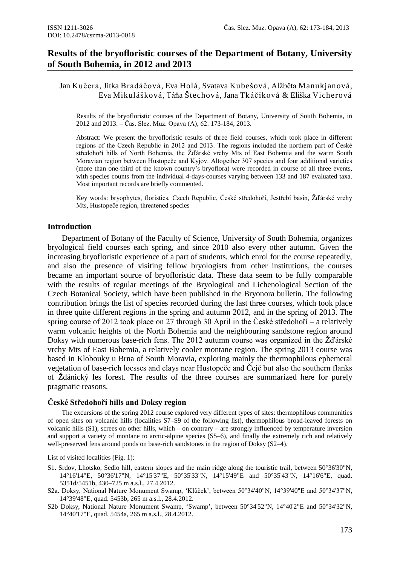# **Results of the bryofloristic courses of the Department of Botany, University of South Bohemia, in 2012 and 2013**

Jan Kučera, Jitka Bradáčová, Eva Holá, Svatava Kubešová, Alžběta Manukjanová, Eva Mikulášková, Táňa Štechová, Jana Tkáčiková & Eliška Vicherová

Results of the bryofloristic courses of the Department of Botany, University of South Bohemia, in 2012 and 2013. – Čas. Slez. Muz. Opava (A), 62: 173-184, 2013.

Abstract: We present the bryofloristic results of three field courses, which took place in different regions of the Czech Republic in 2012 and 2013. The regions included the northern part of České středohoří hills of North Bohemia, the Žďárské vrchy Mts of East Bohemia and the warm South Moravian region between Hustopeče and Kyjov. Altogether 307 species and four additional varieties (more than one-third of the known country's bryoflora) were recorded in course of all three events, with species counts from the individual 4-days-courses varying between 133 and 187 evaluated taxa. Most important records are briefly commented.

Key words: bryophytes, floristics, Czech Republic, České středohoří, Jestřebí basin, Žďárské vrchy Mts, Hustopeče region, threatened species

#### **Introduction**

Department of Botany of the Faculty of Science, University of South Bohemia, organizes bryological field courses each spring, and since 2010 also every other autumn. Given the increasing bryofloristic experience of a part of students, which enrol for the course repeatedly, and also the presence of visiting fellow bryologists from other institutions, the courses became an important source of bryofloristic data. These data seem to be fully comparable with the results of regular meetings of the Bryological and Lichenological Section of the Czech Botanical Society, which have been published in the Bryonora bulletin. The following contribution brings the list of species recorded during the last three courses, which took place in three quite different regions in the spring and autumn 2012, and in the spring of 2013. The spring course of 2012 took place on 27 through 30 April in the České středohoří – a relatively warm volcanic heights of the North Bohemia and the neighbouring sandstone region around Doksy with numerous base-rich fens. The 2012 autumn course was organized in the Žďárské vrchy Mts of East Bohemia, a relatively cooler montane region. The spring 2013 course was based in Klobouky u Brna of South Moravia, exploring mainly the thermophilous ephemeral vegetation of base-rich loesses and clays near Hustopeče and Čejč but also the southern flanks of Ždánický les forest. The results of the three courses are summarized here for purely pragmatic reasons.

#### **České Středohoří hills and Doksy region**

The excursions of the spring 2012 course explored very different types of sites: thermophilous communities of open sites on volcanic hills (localities S7–S9 of the following list), thermophilous broad-leaved forests on volcanic hills (S1), screes on other hills, which – on contrary – are strongly influenced by temperature inversion and support a variety of montane to arctic-alpine species (S5–6), and finally the extremely rich and relatively well-preserved fens around ponds on base-rich sandstones in the region of Doksy (S2–4).

List of visited localities (Fig. 1):

- S1. Srdov, Lhotsko, Sedlo hill, eastern slopes and the main ridge along the touristic trail, between 50°36'30"N, 14°16'14"E, 50°36'17"N, 14°15'37"E, 50°35'33"N, 14°15'49"E and 50°35'43"N, 14°16'6"E, quad. 5351d/5451b, 430–725 m a.s.l., 27.4.2012.
- S2a. Doksy, National Nature Monument Swamp, 'Klůček', between 50°34'40"N, 14°39'40"E and 50°34'37"N, 14°39'48"E, quad. 5453b, 265 m a.s.l., 28.4.2012.
- S2b Doksy, National Nature Monument Swamp, 'Swamp', between 50°34'52"N, 14°40'2"E and 50°34'32"N, 14°40'17"E, quad. 5454a, 265 m a.s.l., 28.4.2012.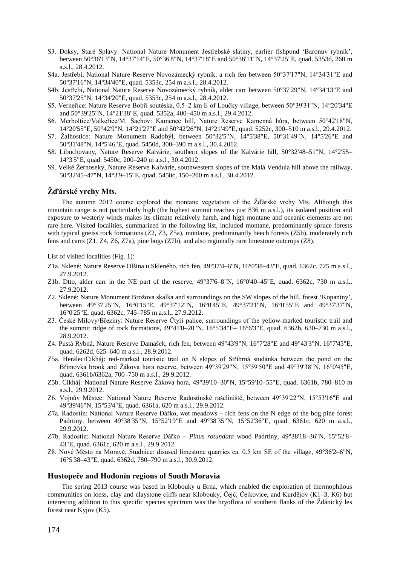- S3. Doksy, Staré Splavy: National Nature Monument Jestřebské slatiny, earlier fishpond 'Baronův rybník', between 50°36'13"N, 14°37'14"E, 50°36'8"N, 14°37'18"E and 50°36'11"N, 14°37'25"E, quad. 5353d, 260 m a.s.l., 28.4.2012.
- S4a. Jestřebí, National Nature Reserve Novozámecký rybník, a rich fen between 50°37'17"N, 14°34'31"E and 50°37'16"N, 14°34'40"E, quad. 5353c, 254 m a.s.l., 28.4.2012.
- S4b. Jestřebí, National Nature Reserve Novozámecký rybník, alder carr between 50°37'29"N, 14°34'13"E and 50°37'25"N, 14°34'20"E, quad. 5353c, 254 m a.s.l., 28.4.2012.
- S5. Verneřice: Nature Reserve Bobří soutěska, 0.5–2 km E of Loučky village, between 50°39'31"N, 14°20'34"E and 50°39'25"N, 14°21'38"E, quad. 5352a, 400–450 m a.s.l., 29.4.2012.
- S6. Merboltice/Valkeřice/M. Šachov: Kamenec hill, Nature Reserve Kamenná hůra, between 50°42'18"N, 14°20'55"E, 50°42'9"N, 14°21'27"E and 50°42'26"N, 14°21'49"E, quad. 5252c, 300–510 m a.s.l., 29.4.2012.
- S7. Žalhostice: Nature Monument Radobýl, between 50°32'5"N, 14°5'38"E, 50°31'49"N, 14°5'26"E and 50°31'48"N, 14°5'46"E, quad. 5450d, 300–390 m a.s.l., 30.4.2012.
- S8. Libochovany, Nature Reserve Kalvárie, southern slopes of the Kalvárie hill, 50°32'48–51"N, 14°2'55– 14°3'5"E, quad. 5450c, 200–240 m a.s.l., 30.4.2012.
- S9. Velké Žernoseky, Nature Reserve Kalvárie, southwestern slopes of the Malá Vendula hill above the railway, 50°32'45–47"N, 14°3'9–15"E, quad. 5450c, 150–200 m a.s.l., 30.4.2012.

#### **Žďárské vrchy Mts.**

The autumn 2012 course explored the montane vegetation of the Žďárské vrchy Mts. Although this mountain range is not particularly high (the highest summit reaches just 836 m a.s.l.), its isolated position and exposure to westerly winds makes its climate relatively harsh, and high montane and oceanic elements are not rare here. Visited localities, summarized in the following list, included montane, predominantly spruce forests with typical gneiss rock formations (Z2, Z3, Z5a), montane, predominantly beech forests (Z5b), moderately rich fens and carrs (Z1, Z4, Z6, Z7a), pine bogs (Z7b), and also regionally rare limestone outcrops (Z8).

List of visited localities (Fig. 1):

- Z1a. Sklené: Nature Reserve Olšina u Skleného, rich fen, 49°37'4–6"N, 16°0'38–43"E, quad. 6362c, 725 m a.s.l., 27.9.2012.
- Z1b. Dtto, alder carr in the NE part of the reserve, 49°37'6–8"N, 16°0'40–45"E, quad. 6362c, 730 m a.s.l., 27.9.2012.
- Z2. Sklené: Nature Monument Brožova skalka and surroundings on the SW slopes of the hill, forest 'Kopaniny', between 49°37'25"N, 16°0'15"E, 49°37'12"N, 16°0'45"E, 49°37'21"N, 16°0'55"E and 49°37'37"N, 16°0'25"E, quad. 6362c, 745–785 m a.s.l., 27.9.2012.
- Z3. České Milovy/Březiny: Nature Reserve Čtyři palice, surroundings of the yellow-marked touristic trail and the summit ridge of rock formations, 49°41'0–20"N, 16°5'34"E– 16°6'3"E, quad. 6362b, 630–730 m a.s.l., 28.9.2012.
- Z4. Pustá Rybná, Nature Reserve Damašek, rich fen, between 49°43'9"N, 16°7'28"E and 49°43'3"N, 16°7'45"E, quad. 6262d, 625–640 m a.s.l., 28.9.2012.
- Z5a. Herálec/Cikháj: red-marked touristic trail on N slopes of Stříbrná studánka between the pond on the Břímovka brook and Žákova hora reserve, between 49°39'29"N, 15°59'50"E and 49°39'38"N, 16°0'45"E, quad. 6361b/6362a, 700–750 m a.s.l., 29.9.2012.
- Z5b. Cikháj: National Nature Reserve Žákova hora, 49°39'10–30"N, 15°59'10–55"E, quad. 6361b, 780–810 m a.s.l., 29.9.2012.
- Z6. Vojnův Městec: National Nature Reserve Radostínské rašeliniště, between 49°39'22"N, 15°53'16"E and 49°39'46"N, 15°53'4"E, quad. 6361a, 620 m a.s.l., 29.9.2012.
- Z7a. Radostín: National Nature Reserve Dářko, wet meadows rich fens on the N edge of the bog pine forest Padrtiny, between 49°38'35"N, 15°52'19"E and 49°38'35"N, 15°52'36"E, quad. 6361c, 620 m a.s.l., 29.9.2012.
- Z7b. Radostín: National Nature Reserve Dářko *Pinus rotundata* wood Padrtiny, 49°38'18–36"N, 15°52'8– 43"E, quad. 6361c, 620 m a.s.l., 29.9.2012.
- Z8. Nové Město na Moravě, Studnice: disused limestone quarries ca. 0.5 km SE of the village, 49°36'2–6"N, 16°5'38–43"E, quad. 6362d, 780–790 m a.s.l., 30.9.2012.

#### **Hustopeče and Hodonín regions of South Moravia**

The spring 2013 course was based in Klobouky u Brna, which enabled the exploration of thermophilous communities on loess, clay and claystone cliffs near Klobouky, Čejč, Čejkovice, and Kurdějov (K1–3, K6) but interesting addition to this specific species spectrum was the bryoflora of southern flanks of the Ždánický les forest near Kyjov (K5).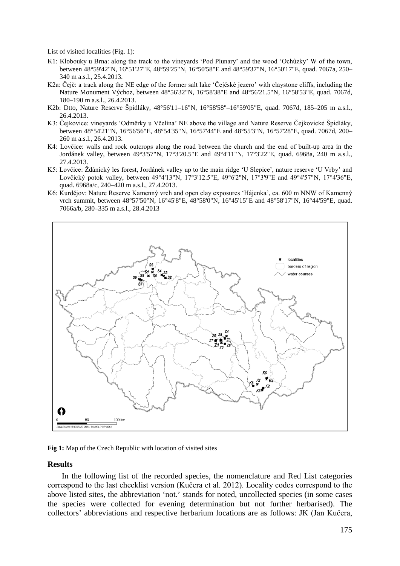List of visited localities (Fig. 1):

- K1: Klobouky u Brna: along the track to the vineyards 'Pod Plunary' and the wood 'Ochůzky' W of the town, between 48°59'42"N, 16°51'27"E, 48°59'25"N, 16°50'58"E and 48°59'37"N, 16°50'17"E, quad. 7067a, 250– 340 m a.s.l., 25.4.2013.
- K2a: Čejč: a track along the NE edge of the former salt lake 'Čejčské jezero' with claystone cliffs, including the Nature Monument Výchoz, between 48°56'32"N, 16°58'38"E and 48°56'21.5"N, 16°58'53"E, quad. 7067d, 180–190 m a.s.l., 26.4.2013.
- K2b: Dtto, Nature Reserve Špidláky, 48°56'11–16"N, 16°58'58"–16°59'05"E, quad. 7067d, 185–205 m a.s.l., 26.4.2013.
- K3: Čejkovice: vineyards 'Odměrky u Včelína' NE above the village and Nature Reserve Čejkovické Špidláky, between 48°54'21"N, 16°56'56"E, 48°54'35"N, 16°57'44"E and 48°55'3"N, 16°57'28"E, quad. 7067d, 200– 260 m a.s.l., 26.4.2013.
- K4: Lovčice: walls and rock outcrops along the road between the church and the end of built-up area in the Jordánek valley, between 49°3'57"N, 17°3'20.5"E and 49°4'11"N, 17°3'22"E, quad. 6968a, 240 m a.s.l., 27.4.2013.
- K5: Lovčice: Ždánický les forest, Jordánek valley up to the main ridge 'U Slepice', nature reserve 'U Vrby' and Lovčický potok valley, between 49°4'13"N, 17°3'12.5"E, 49°6'2"N, 17°3'9"E and 49°4'57"N, 17°4'36"E, quad. 6968a/c, 240–420 m a.s.l., 27.4.2013.
- K6: Kurdějov: Nature Reserve Kamenný vrch and open clay exposures 'Hájenka', ca. 600 m NNW of Kamenný vrch summit, between 48°57'50"N, 16°45'8"E, 48°58'0"N, 16°45'15"E and 48°58'17"N, 16°44'59"E, quad. 7066a/b, 280–335 m a.s.l., 28.4.2013



**Fig 1:** Map of the Czech Republic with location of visited sites

#### **Results**

In the following list of the recorded species, the nomenclature and Red List categories correspond to the last checklist version (Kučera et al. 2012). Locality codes correspond to the above listed sites, the abbreviation 'not.' stands for noted, uncollected species (in some cases the species were collected for evening determination but not further herbarised). The collectors' abbreviations and respective herbarium locations are as follows: JK (Jan Kučera,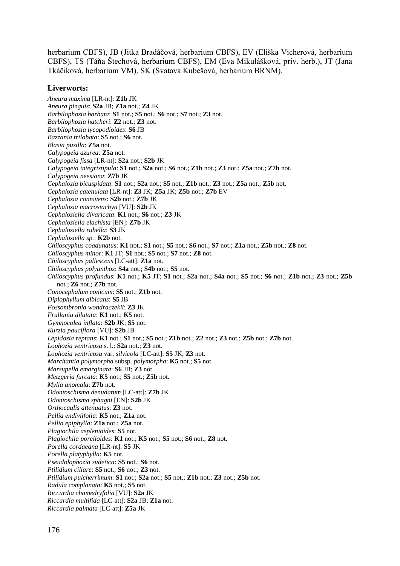herbarium CBFS), JB (Jitka Bradáčová, herbarium CBFS), EV (Eliška Vicherová, herbarium CBFS), TS (Táňa Štechová, herbarium CBFS), EM (Eva Mikulášková, priv. herb.), JT (Jana Tkáčiková, herbarium VM), SK (Svatava Kubešová, herbarium BRNM).

#### **Liverworts:**

*Aneura maxima* [LR-nt]: **Z1b** JK *Aneura pinguis*: **S2a** JB; **Z1a** not.; **Z4** JK *Barbilophozia barbata*: **S1** not.; **S5** not.; **S6** not.; **S7** not.; **Z3** not. *Barbilophozia hatcheri*: **Z2** not.; **Z3** not. *Barbilophozia lycopodioides*: **S6** JB *Bazzania trilobata*: **S5** not.; **S6** not. *Blasia pusilla*: **Z5a** not. *Calypogeia azurea*: **Z5a** not. *Calypogeia fissa* [LR-nt]: **S2a** not.; **S2b** JK *Calypogeia integristipula*: **S1** not.; **S2a** not.; **S6** not.; **Z1b** not.; **Z3** not.; **Z5a** not.; **Z7b** not. *Calypogeia neesiana*: **Z7b** JK *Cephalozia bicuspidata*: **S1** not.; **S2a** not.; **S5** not.; **Z1b** not.; **Z3** not.; **Z5a** not.; **Z5b** not. *Cephalozia catenulata* [LR-nt]: **Z3** JK; **Z5a** JK; **Z5b** not.; **Z7b** EV *Cephalozia connivens*: **S2b** not.; **Z7b** JK *Cephalozia macrostachya* [VU]: **S2b** JK *Cephaloziella divaricata*: **K1** not.; **S6** not.; **Z3** JK *Cephaloziella elachista* [EN]: **Z7b** JK *Cephaloziella rubella*: **S3** JK *Cephaloziella sp.*: **K2b** not. *Chiloscyphus coadunatus*: **K1** not.; **S1** not.; **S5** not.; **S6** not.; **S7** not.; **Z1a** not.; **Z5b** not.; **Z8** not. *Chiloscyphus minor*: **K1** JT; **S1** not.; **S5** not.; **S7** not.; **Z8** not. *Chiloscyphus pallescens* [LC-att]: **Z1a** not. *Chiloscyphus polyanthos*: **S4a** not.; **S4b** not.; **S5** not. *Chiloscyphus profundus*: **K1** not.; **K5** JT; **S1** not.; **S2a** not.; **S4a** not.; **S5** not.; **S6** not.; **Z1b** not.; **Z3** not.; **Z5b** not.; **Z6** not.; **Z7b** not. *Conocephalum conicum*: **S5** not.; **Z1b** not. *Diplophyllum albicans*: **S5** JB *Fossombronia wondraczekii*: **Z3** JK *Frullania dilatata*: **K1** not.; **K5** not. *Gymnocolea inflata*: **S2b** JK; **S5** not. *Kurzia pauciflora* [VU]: **S2b** JB *Lepidozia reptans*: **K1** not.; **S1** not.; **S5** not.; **Z1b** not.; **Z2** not.; **Z3** not.; **Z5b** not.; **Z7b** not. *Lophozia ventricosa* s. l.: **S2a** not.; **Z3** not. *Lophozia ventricosa* var. *silvicola* [LC-att]: **S5** JK; **Z3** not. *Marchantia polymorpha* subsp. *polymorpha*: **K5** not.; **S5** not. *Marsupella emarginata*: **S6** JB; **Z3** not. *Metzgeria furcata*: **K5** not.; **S5** not.; **Z5b** not. *Mylia anomala*: **Z7b** not. *Odontoschisma denudatum* [LC-att]: **Z7b** JK *Odontoschisma sphagni* [EN]: **S2b** JK *Orthocaulis attenuatus*: **Z3** not. *Pellia endiviifolia*: **K5** not.; **Z1a** not. *Pellia epiphylla*: **Z1a** not.; **Z5a** not. *Plagiochila asplenioides*: **S5** not. *Plagiochila porelloides*: **K1** not.; **K5** not.; **S5** not.; **S6** not.; **Z8** not. *Porella cordaeana* [LR-nt]: **S5** JK *Porella platyphylla*: **K5** not. *Pseudolophozia sudetica*: **S5** not.; **S6** not. *Ptilidium ciliare*: **S5** not.; **S6** not.; **Z3** not. *Ptilidium pulcherrimum*: **S1** not.; **S2a** not.; **S5** not.; **Z1b** not.; **Z3** not.; **Z5b** not. *Radula complanata*: **K5** not.; **S5** not. *Riccardia chamedryfolia* [VU]: **S2a** JK *Riccardia multifida* [LC-att]: **S2a** JB; **Z1a** not. *Riccardia palmata* [LC-att]: **Z5a** JK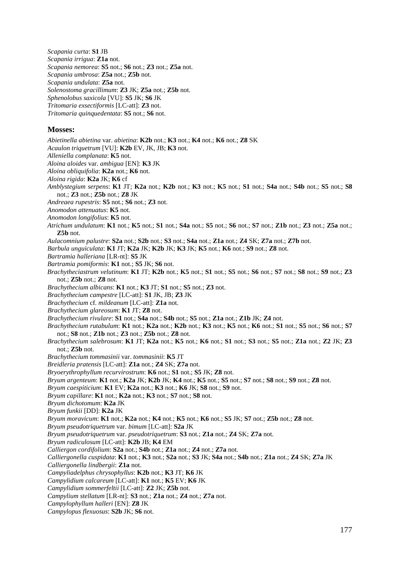*Scapania curta*: **S1** JB *Scapania irrigua*: **Z1a** not. *Scapania nemorea*: **S5** not.; **S6** not.; **Z3** not.; **Z5a** not. *Scapania umbrosa*: **Z5a** not.; **Z5b** not. *Scapania undulata*: **Z5a** not. *Solenostoma gracillimum*: **Z3** JK; **Z5a** not.; **Z5b** not. *Sphenolobus saxicola* [VU]: **S5** JK; **S6** JK *Tritomaria exsectiformis* [LC-att]: **Z3** not.

*Tritomaria quinquedentata*: **S5** not.; **S6** not.

#### **Mosses:**

*Abietinella abietina* var. *abietina*: **K2b** not.; **K3** not.; **K4** not.; **K6** not.; **Z8** SK *Acaulon triquetrum* [VU]: **K2b** EV, JK, JB; **K3** not. *Alleniella complanata*: **K5** not. *Aloina aloides* var. *ambigua* [EN]: **K3** JK *Aloina obliquifolia*: **K2a** not.; **K6** not. *Aloina rigida*: **K2a** JK; **K6** cf *Amblystegium serpens*: **K1** JT; **K2a** not.; **K2b** not.; **K3** not.; **K5** not.; **S1** not.; **S4a** not.; **S4b** not.; **S5** not.; **S8** not.; **Z3** not.; **Z5b** not.; **Z8** JK *Andreaea rupestris*: **S5** not.; **S6** not.; **Z3** not. *Anomodon attenuatus*: **K5** not. *Anomodon longifolius*: **K5** not. *Atrichum undulatum*: **K1** not.; **K5** not.; **S1** not.; **S4a** not.; **S5** not.; **S6** not.; **S7** not.; **Z1b** not.; **Z3** not.; **Z5a** not.; **Z5b** not. *Aulacomnium palustre*: **S2a** not.; **S2b** not.; **S3** not.; **S4a** not.; **Z1a** not.; **Z4** SK; **Z7a** not.; **Z7b** not. *Barbula unguiculata*: **K1** JT; **K2a** JK; **K2b** JK; **K3** JK; **K5** not.; **K6** not.; **S9** not.; **Z8** not. *Bartramia halleriana* [LR-nt]: **S5** JK *Bartramia pomiformis*: **K1** not.; **S5** JK; **S6** not. *Brachytheciastrum velutinum*: **K1** JT; **K2b** not.; **K5** not.; **S1** not.; **S5** not.; **S6** not.; **S7** not.; **S8** not.; **S9** not.; **Z3** not.; **Z5b** not.; **Z8** not. *Brachythecium albicans*: **K1** not.; **K3** JT; **S1** not.; **S5** not.; **Z3** not. *Brachythecium campestre* [LC-att]: **S1** JK, JB; **Z3** JK *Brachythecium* cf. *mildeanum* [LC-att]: **Z1a** not. *Brachythecium glareosum*: **K1** JT; **Z8** not. *Brachythecium rivulare*: **S1** not.; **S4a** not.; **S4b** not.; **S5** not.; **Z1a** not.; **Z1b** JK; **Z4** not. *Brachythecium rutabulum*: **K1** not.; **K2a** not.; **K2b** not.; **K3** not.; **K5** not.; **K6** not.; **S1** not.; **S5** not.; **S6** not.; **S7** not.; **S8** not.; **Z1b** not.; **Z3** not.; **Z5b** not.; **Z8** not. *Brachythecium salebrosum*: **K1** JT; **K2a** not.; **K5** not.; **K6** not.; **S1** not.; **S3** not.; **S5** not.; **Z1a** not.; **Z2** JK; **Z3** not.; **Z5b** not. *Brachythecium tommasinii* var. *tommasinii*: **K5** JT *Breidleria pratensis* [LC-att]: **Z1a** not.; **Z4** SK; **Z7a** not. *Bryoerythrophyllum recurvirostrum*: **K6** not.; **S1** not.; **S5** JK; **Z8** not. *Bryum argenteum*: **K1** not.; **K2a** JK; **K2b** JK; **K4** not.; **K5** not.; **S5** not.; **S7** not.; **S8** not.; **S9** not.; **Z8** not. *Bryum caespiticium*: **K1** EV; **K2a** not.; **K3** not.; **K6** JK; **S8** not.; **S9** not. *Bryum capillare*: **K1** not.; **K2a** not.; **K3** not.; **S7** not.; **S8** not. *Bryum dichotomum*: **K2a** JK *Bryum funkii* [DD]: **K2a** JK *Bryum moravicum*: **K1** not.; **K2a** not.; **K4** not.; **K5** not.; **K6** not.; **S5** JK; **S7** not.; **Z5b** not.; **Z8** not. *Bryum pseudotriquetrum* var. *bimum* [LC-att]: **S2a** JK *Bryum pseudotriquetrum* var. *pseudotriquetrum*: **S3** not.; **Z1a** not.; **Z4** SK; **Z7a** not. *Bryum radiculosum* [LC-att]: **K2b** JB; **K4** EM *Calliergon cordifolium*: **S2a** not.; **S4b** not.; **Z1a** not.; **Z4** not.; **Z7a** not. *Calliergonella cuspidata*: **K1** not.; **K3** not.; **S2a** not.; **S3** JK; **S4a** not.; **S4b** not.; **Z1a** not.; **Z4** SK; **Z7a** JK *Calliergonella lindbergii*: **Z1a** not. *Campyliadelphus chrysophyllus*: **K2b** not.; **K3** JT; **K6** JK *Campylidium calcareum* [LC-att]: **K1** not.; **K5** EV; **K6** JK *Campylidium sommerfeltii* [LC-att]: **Z2** JK; **Z5b** not. *Campylium stellatum* [LR-nt]: **S3** not.; **Z1a** not.; **Z4** not.; **Z7a** not. *Campylophyllum halleri* [EN]: **Z8** JK *Campylopus flexuosus*: **S2b** JK; **S6** not.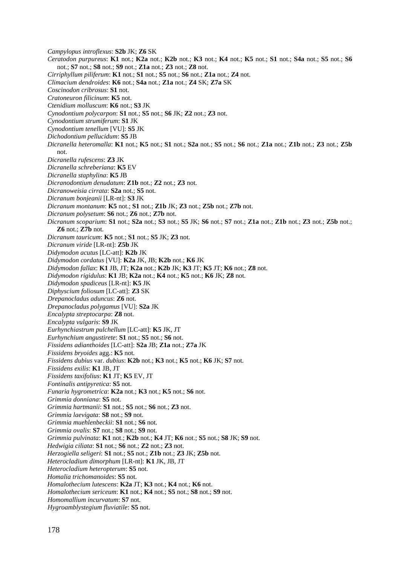*Campylopus introflexus*: **S2b** JK; **Z6** SK *Ceratodon purpureus*: **K1** not.; **K2a** not.; **K2b** not.; **K3** not.; **K4** not.; **K5** not.; **S1** not.; **S4a** not.; **S5** not.; **S6** not.; **S7** not.; **S8** not.; **S9** not.; **Z1a** not.; **Z3** not.; **Z8** not. *Cirriphyllum piliferum*: **K1** not.; **S1** not.; **S5** not.; **S6** not.; **Z1a** not.; **Z4** not. *Climacium dendroides*: **K6** not.; **S4a** not.; **Z1a** not.; **Z4** SK; **Z7a** SK *Coscinodon cribrosus*: **S1** not. *Cratoneuron filicinum*: **K5** not. *Ctenidium molluscum*: **K6** not.; **S3** JK *Cynodontium polycarpon*: **S1** not.; **S5** not.; **S6** JK; **Z2** not.; **Z3** not. *Cynodontium strumiferum*: **S1** JK *Cynodontium tenellum* [VU]: **S5** JK *Dichodontium pellucidum*: **S5** JB *Dicranella heteromalla*: **K1** not.; **K5** not.; **S1** not.; **S2a** not.; **S5** not.; **S6** not.; **Z1a** not.; **Z1b** not.; **Z3** not.; **Z5b** not. *Dicranella rufescens*: **Z3** JK *Dicranella schreberiana*: **K5** EV *Dicranella staphylina*: **K5** JB *Dicranodontium denudatum*: **Z1b** not.; **Z2** not.; **Z3** not. *Dicranoweisia cirrata*: **S2a** not.; **S5** not. *Dicranum bonjeanii* [LR-nt]: **S3** JK *Dicranum montanum*: **K5** not.; **S1** not.; **Z1b** JK; **Z3** not.; **Z5b** not.; **Z7b** not. *Dicranum polysetum*: **S6** not.; **Z6** not.; **Z7b** not. *Dicranum scoparium*: **S1** not.; **S2a** not.; **S3** not.; **S5** JK; **S6** not.; **S7** not.; **Z1a** not.; **Z1b** not.; **Z3** not.; **Z5b** not.; **Z6** not.; **Z7b** not. *Dicranum tauricum*: **K5** not.; **S1** not.; **S5** JK; **Z3** not. *Dicranum viride* [LR-nt]: **Z5b** JK *Didymodon acutus* [LC-att]: **K2b** JK *Didymodon cordatus* [VU]: **K2a** JK, JB; **K2b** not.; **K6** JK *Didymodon fallax*: **K1** JB, JT; **K2a** not.; **K2b** JK; **K3** JT; **K5** JT; **K6** not.; **Z8** not. *Didymodon rigidulus*: **K1** JB; **K2a** not.; **K4** not.; **K5** not.; **K6** JK; **Z8** not. *Didymodon spadiceus* [LR-nt]: **K5** JK *Diphyscium foliosum* [LC-att]: **Z3** SK *Drepanocladus aduncus*: **Z6** not. *Drepanocladus polygamus* [VU]: **S2a** JK *Encalypta streptocarpa*: **Z8** not. *Encalypta vulgaris*: **S9** JK *Eurhynchiastrum pulchellum* [LC-att]: **K5** JK, JT *Eurhynchium angustirete*: **S1** not.; **S5** not.; **S6** not. *Fissidens adianthoides* [LC-att]: **S2a** JB; **Z1a** not.; **Z7a** JK *Fissidens bryoides* agg.: **K5** not. *Fissidens dubius* var. *dubius*: **K2b** not.; **K3** not.; **K5** not.; **K6** JK; **S7** not. *Fissidens exilis*: **K1** JB, JT *Fissidens taxifolius*: **K1** JT; **K5** EV, JT *Fontinalis antipyretica*: **S5** not. *Funaria hygrometrica*: **K2a** not.; **K3** not.; **K5** not.; **S6** not. *Grimmia donniana*: **S5** not. *Grimmia hartmanii*: **S1** not.; **S5** not.; **S6** not.; **Z3** not. *Grimmia laevigata*: **S8** not.; **S9** not. *Grimmia muehlenbeckii*: **S1** not.; **S6** not. *Grimmia ovalis*: **S7** not.; **S8** not.; **S9** not. *Grimmia pulvinata*: **K1** not.; **K2b** not.; **K4** JT; **K6** not.; **S5** not.; **S8** JK; **S9** not. *Hedwigia ciliata*: **S1** not.; **S6** not.; **Z2** not.; **Z3** not. *Herzogiella seligeri*: **S1** not.; **S5** not.; **Z1b** not.; **Z3** JK; **Z5b** not. *Heterocladium dimorphum* [LR-nt]: **K1** JK, JB, JT *Heterocladium heteropterum*: **S5** not. *Homalia trichomanoides*: **S5** not. *Homalothecium lutescens*: **K2a** JT; **K3** not.; **K4** not.; **K6** not. *Homalothecium sericeum*: **K1** not.; **K4** not.; **S5** not.; **S8** not.; **S9** not.

*Homomallium incurvatum*: **S7** not. *Hygroamblystegium fluviatile*: **S5** not.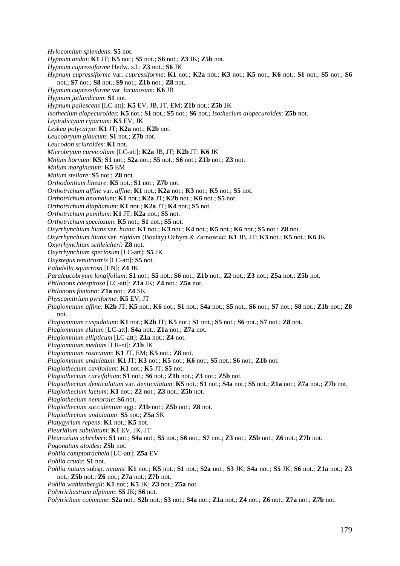*Hylocomium splendens*: **S5** not. *Hypnum andoi*: **K1** JT; **K5** not.; **S5** not.; **S6** not.; **Z3** JK; **Z5b** not. *Hypnum cupressiforme* Hedw. s.l.: **Z3** not.; **S6** JK *Hypnum cupressiforme* var. *cupressiforme*: **K1** not.; **K2a** not.; **K3** not.; **K5** not.; **K6** not.; **S1** not.; **S5** not.; **S6** not.; **S7** not.; **S8** not.; **S9** not.; **Z1b** not.; **Z8** not. *Hypnum cupressiforme* var. *lacunosum*: **K6** JB *Hypnum jutlandicum*: **S1** not. *Hypnum pallescens* [LC-att]: **K5** EV, JB, JT, EM; **Z1b** not.; **Z5b** JK *Isothecium alopecuroides*: **K5** not.; **S1** not.; **S5** not.; **S6** not.; *Isothecium alopecuroides*: **Z5b** not. *Leptodictyum riparium*: **K5** EV, JK *Leskea polycarpa*: **K1** JT; **K2a** not.; **K2b** not. *Leucobryum glaucum*: **S1** not.; **Z7b** not. *Leucodon sciuroides*: **K1** not. *Microbryum curvicollum* [LC-att]: **K2a** JB, JT; **K2b** JT; **K6** JK *Mnium hornum*: **K5**; **S1** not.; **S2a** not.; **S5** not.; **S6** not.; **Z1b** not.; **Z3** not. *Mnium marginatum*: **K5** EM *Mnium stellare*: **S5** not.; **Z8** not. *Orthodontium lineare*: **K5** not.; **S1** not.; **Z7b** not. *Orthotrichum affine* var. *affine*: **K1** not.; **K2a** not.; **K3** not.; **K5** not.; **S5** not. *Orthotrichum anomalum*: **K1** not.; **K2a** JT; **K2b** not.; **K6** not.; **S5** not. *Orthotrichum diaphanum*: **K1** not.; **K2a** JT; **K4** not.; **S5** not. *Orthotrichum pumilum*: **K1** JT; **K2a** not.; **S5** not. *Orthotrichum speciosum*: **K5** not.; **S1** not.; **S5** not. *Oxyrrhynchium hians* var. *hians*: **K1** not.; **K3** not.; **K4** not.; **K5** not.; **K6** not.; **S5** not.; **Z8** not. *Oxyrrhynchium hians* var. *rigidum* (Boulay) Ochyra & Żarnowiec: **K1** JB, JT; **K3** not.; **K5** not.; **K6** JK *Oxyrrhynchium schleicheri*: **Z8** not. *Oxyrrhynchium speciosum* [LC-att]: **S5** JK *Oxystegus tenuirostris* [LC-att]: **S5** not. *Paludella squarrosa* [EN]: **Z4** JK *Paraleucobryum longifolium*: **S1** not.; **S5** not.; **S6** not.; **Z1b** not.; **Z2** not.; **Z3** not.; **Z5a** not.; **Z5b** not. *Philonotis caespitosa* [LC-att]: **Z1a** JK; **Z4** not.; **Z5a** not. *Philonotis fontana*: **Z1a** not.; **Z4** SK *Physcomitrium pyriforme*: **K5** EV, JT *Plagiomnium affine*: **K2b** JT; **K5** not.; **K6** not.; **S1** not.; **S4a** not.; **S5** not.; **S6** not.; **S7** not.; **S8** not.; **Z1b** not.; **Z8** not. *Plagiomnium cuspidatum*: **K1** not.; **K2b** JT; **K5** not.; **S1** not.; **S5** not.; **S6** not.; **S7** not.; **Z8** not. *Plagiomnium elatum* [LC-att]: **S4a** not.; **Z1a** not.; **Z7a** not. *Plagiomnium ellipticum* [LC-att]: **Z1a** not.; **Z4** not. *Plagiomnium medium* [LR-nt]: **Z1b** JK *Plagiomnium rostratum*: **K1** JT, EM; **K5** not.; **Z8** not. *Plagiomnium undulatum*: **K1** JT; **K3** not.; **K5** not.; **K6** not.; **S5** not.; **S6** not.; **Z1b** not. *Plagiothecium cavifolium*: **K1** not.; **K5** JT; **S5** not. *Plagiothecium curvifolium*: **S1** not.; **S6** not.; **Z1b** not.; **Z3** not.; **Z5b** not. *Plagiothecium denticulatum* var. *denticulatum*: **K5** not.; **S1** not.; **S4a** not.; **S5** not.; **Z1a** not.; **Z7a** not.; **Z7b** not. *Plagiothecium laetum*: **K1** not.; **Z2** not.; **Z3** not.; **Z5b** not. *Plagiothecium nemorale*: **S6** not. *Plagiothecium succulentum* agg.: **Z1b** not.; **Z5b** not.; **Z8** not. *Plagiothecium undulatum*: **S5** not.; **Z5a** SK *Platygyrium repens*: **K1** not.; **K5** not. *Pleuridium subulatum*: **K1** EV, JK, JT *Pleurozium schreberi*: **S1** not.; **S4a** not.; **S5** not.; **S6** not.; **S7** not.; **Z3** not.; **Z5b** not.; **Z6** not.; **Z7b** not. *Pogonatum aloides*: **Z5b** not. *Pohlia camptotrachela* [LC-att]: **Z5a** EV *Pohlia cruda*: **S1** not. *Pohlia nutans* subsp. *nutans*: **K1** not.; **K5** not.; **S1** not.; **S2a** not.; **S3** JK; **S4a** not.; **S5** JK; **S6** not.; **Z1a** not.; **Z3** not.; **Z5b** not.; **Z6** not.; **Z7a** not.; **Z7b** not. *Pohlia wahlenbergii*: **K1** not.; **K5** JK; **Z3** not.; **Z5a** not. *Polytrichastrum alpinum*: **S5** JK; **S6** not. *Polytrichum commune*: **S2a** not.; **S2b** not.; **S3** not.; **S4a** not.; **Z1a** not.; **Z4** not.; **Z6** not.; **Z7a** not.; **Z7b** not.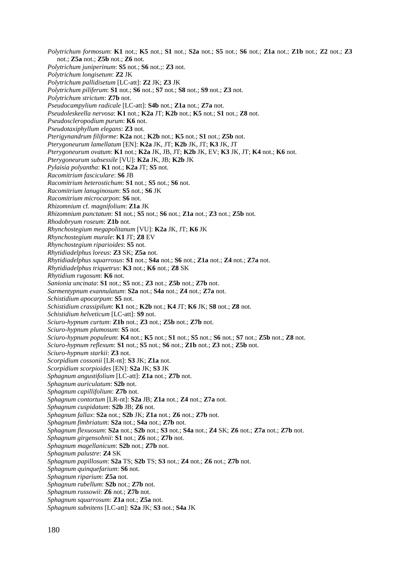*Polytrichum formosum*: **K1** not.; **K5** not.; **S1** not.; **S2a** not.; **S5** not.; **S6** not.; **Z1a** not.; **Z1b** not.; **Z2** not.; **Z3** not.; **Z5a** not.; **Z5b** not.; **Z6** not. *Polytrichum juniperinum*: **S5** not.; **S6** not.;: **Z3** not. *Polytrichum longisetum*: **Z2** JK *Polytrichum pallidisetum* [LC-att]: **Z2** JK; **Z3** JK *Polytrichum piliferum*: **S1** not.; **S6** not.; **S7** not.; **S8** not.; **S9** not.; **Z3** not. *Polytrichum strictum*: **Z7b** not. *Pseudocampylium radicale* [LC-att]: **S4b** not.; **Z1a** not.; **Z7a** not. *Pseudoleskeella nervosa*: **K1** not.; **K2a** JT; **K2b** not.; **K5** not.; **S1** not.; **Z8** not. *Pseudoscleropodium purum*: **K6** not. *Pseudotaxiphyllum elegans*: **Z3** not. *Pterigynandrum filiforme*: **K2a** not.; **K2b** not.; **K5** not.; **S1** not.; **Z5b** not. *Pterygoneurum lamellatum* [EN]: **K2a** JK, JT; **K2b** JK, JT; **K3** JK, JT *Pterygoneurum ovatum*: **K1** not.; **K2a** JK, JB, JT; **K2b** JK, EV; **K3** JK, JT; **K4** not.; **K6** not. *Pterygoneurum subsessile* [VU]: **K2a** JK, JB; **K2b** JK *Pylaisia polyantha*: **K1** not.; **K2a** JT; **S5** not. *Racomitrium fasciculare*: **S6** JB *Racomitrium heterostichum*: **S1** not.; **S5** not.; **S6** not. *Racomitrium lanuginosum*: **S5** not.; **S6** JK *Racomitrium microcarpon*: **S6** not. *Rhizomnium* cf. *magnifolium*: **Z1a** JK *Rhizomnium punctatum*: **S1** not.; **S5** not.; **S6** not.; **Z1a** not.; **Z3** not.; **Z5b** not. *Rhodobryum roseum*: **Z1b** not. *Rhynchostegium megapolitanum* [VU]: **K2a** JK, JT; **K6** JK *Rhynchostegium murale*: **K1** JT; **Z8** EV *Rhynchostegium riparioides*: **S5** not. *Rhytidiadelphus loreus*: **Z3** SK; **Z5a** not. *Rhytidiadelphus squarrosus*: **S1** not.; **S4a** not.; **S6** not.; **Z1a** not.; **Z4** not.; **Z7a** not. *Rhytidiadelphus triquetrus*: **K3** not.; **K6** not.; **Z8** SK *Rhytidium rugosum*: **K6** not. *Sanionia uncinata*: **S1** not.; **S5** not.; **Z3** not.; **Z5b** not.; **Z7b** not. *Sarmentypnum exannulatum*: **S2a** not.; **S4a** not.; **Z4** not.; **Z7a** not. *Schistidium apocarpum*: **S5** not. *Schistidium crassipilum*: **K1** not.; **K2b** not.; **K4** JT; **K6** JK; **S8** not.; **Z8** not. *Schistidium helveticum* [LC-att]: **S9** not. *Sciuro-hypnum curtum*: **Z1b** not.; **Z3** not.; **Z5b** not.; **Z7b** not. *Sciuro-hypnum plumosum*: **S5** not. *Sciuro-hypnum populeum*: **K4** not.; **K5** not.; **S1** not.; **S5** not.; **S6** not.; **S7** not.; **Z5b** not.; **Z8** not. *Sciuro-hypnum reflexum*: **S1** not.; **S5** not.; **S6** not.; **Z1b** not.; **Z3** not.; **Z5b** not. *Sciuro-hypnum starkii*: **Z3** not. *Scorpidium cossonii* [LR-nt]: **S3** JK; **Z1a** not. *Scorpidium scorpioides* [EN]: **S2a** JK; **S3** JK *Sphagnum angustifolium* [LC-att]: **Z1a** not.; **Z7b** not. *Sphagnum auriculatum*: **S2b** not. *Sphagnum capillifolium*: **Z7b** not. *Sphagnum contortum* [LR-nt]: **S2a** JB; **Z1a** not.; **Z4** not.; **Z7a** not. *Sphagnum cuspidatum*: **S2b** JB; **Z6** not. *Sphagnum fallax*: **S2a** not.; **S2b** JK; **Z1a** not.; **Z6** not.; **Z7b** not. *Sphagnum fimbriatum*: **S2a** not.; **S4a** not.; **Z7b** not. *Sphagnum flexuosum*: **S2a** not.; **S2b** not.; **S3** not.; **S4a** not.; **Z4** SK; **Z6** not.; **Z7a** not.; **Z7b** not. *Sphagnum girgensohnii*: **S1** not.; **Z6** not.; **Z7b** not. *Sphagnum magellanicum*: **S2b** not.; **Z7b** not. *Sphagnum palustre*: **Z4** SK *Sphagnum papillosum*: **S2a** TS; **S2b** TS; **S3** not.; **Z4** not.; **Z6** not.; **Z7b** not. *Sphagnum quinquefarium*: **S6** not. *Sphagnum riparium*: **Z5a** not. *Sphagnum rubellum*: **S2b** not.; **Z7b** not. *Sphagnum russowii*: **Z6** not.; **Z7b** not. *Sphagnum squarrosum*: **Z1a** not.; **Z5a** not. *Sphagnum subnitens* [LC-att]: **S2a** JK; **S3** not.; **S4a** JK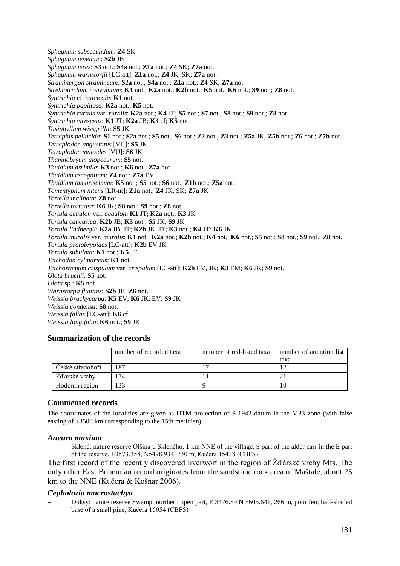*Sphagnum subsecundum*: **Z4** SK *Sphagnum tenellum*: **S2b** JB *Sphagnum teres*: **S3** not.; **S4a** not.; **Z1a** not.; **Z4** SK; **Z7a** not. *Sphagnum warnstorfii* [LC-att]: **Z1a** not.; **Z4** JK, SK; **Z7a** not. *Straminergon stramineum*: **S2a** not.; **S4a** not.; **Z1a** not.; **Z4** SK; **Z7a** not. *Streblotrichum convolutum*: **K1** not.; **K2a** not.; **K2b** not.; **K5** not.; **K6** not.; **S9** not.; **Z8** not. *Syntrichia* cf. *calcicola*: **K1** not. *Syntrichia papillosa*: **K2a** not.; **K5** not. *Syntrichia ruralis* var. *ruralis*: **K2a** not.; **K4** JT; **S5** not.; **S7** not.; **S8** not.; **S9** not.; **Z8** not. *Syntrichia virescens*: **K1** JT; **K2a** JB; **K4** cf; **K5** not. *Taxiphyllum wissgrillii*: **S5** JK *Tetraphis pellucida*: **S1** not.; **S2a** not.; **S5** not.; **S6** not.; **Z2** not.; **Z3** not.; **Z5a** JK; **Z5b** not.; **Z6** not.; **Z7b** not. *Tetraplodon angustatus* [VU]: **S5** JK *Tetraplodon mnioides* [VU]: **S6** JK *Thamnobryum alopecurum*: **S5** not. *Thuidium assimile*: **K3** not.; **K6** not.; **Z7a** not. *Thuidium recognitum*: **Z4** not.; **Z7a** EV *Thuidium tamariscinum*: **K5** not.; **S5** not.; **S6** not.; **Z1b** not.; **Z5a** not. *Tomentypnum nitens* [LR-nt]: **Z1a** not.; **Z4** JK, SK; **Z7a** JK *Tortella inclinata*: **Z8** not. *Tortella tortuosa*: **K6** JK; **S8** not.; **S9** not.; **Z8** not. *Tortula acaulon* var. *acaulon*: **K1** JT; **K2a** not.; **K3** JK *Tortula caucasica*: **K2b** JB; **K3** not.; **S5** JK; **S9** JK *Tortula lindbergii*: **K2a** JB, JT; **K2b** JK, JT; **K3** not.; **K4** JT; **K6** JK *Tortula muralis* var. *muralis*: **K1** not.; **K2a** not.; **K2b** not.; **K4** not.; **K6** not.; **S5** not.; **S8** not.; **S9** not.; **Z8** not. *Tortula protobryoides* [LC-att]: **K2b** EV JK *Tortula subulata*: **K1** not.; **K5** JT *Trichodon cylindricus*: **K1** not. *Trichostomum crispulum* var. *crispulum* [LC-att]: **K2b** EV, JK; **K3** EM; **K6** JK; **S9** not. *Ulota bruchii*: **S5** not. *Ulota sp.*: **K5** not. *Warnstorfia fluitans*: **S2b** JB; **Z6** not. *Weissia brachycarpa*: **K5** EV; **K6** JK, EV; **S9** JK *Weissia condensa*: **S8** not. *Weissia fallax* [LC-att]: **K6** cf. *Weissia longifolia*: **K6** not.; **S9** JK

# **Summarization of the records**

|                  | number of recorded taxa | number of red-listed taxa | number of attention list |
|------------------|-------------------------|---------------------------|--------------------------|
|                  |                         |                           | taxa                     |
| České středohoří | 87                      |                           |                          |
| Žďárské vrchy    | 74                      |                           |                          |
| Hodonín region   | 33                      |                           | 10                       |

## **Commented records**

The coordinates of the localities are given as UTM projection of S-1942 datum in the M33 zone (with false easting of +3500 km corresponding to the 15th meridian).

#### *Aneura maxima*

− Sklené: nature reserve Olšina u Skleného, 1 km NNE of the village, S part of the alder carr in the E part of the reserve, E3573.358, N5498.934, 730 m, Kučera 15438 (CBFS).

The first record of the recently discovered liverwort in the region of Žďárské vrchy Mts. The only other East Bohemian record originates from the sandstone rock area of Maštale, about 25 km to the NNE (Kučera & Košnar 2006).

#### *Cephalozia macrostachya*

− Doksy: nature reserve Swamp, northern open part, E 3476.59 N 5605.641, 266 m, poor fen; half-shaded base of a small pine, Kučera 15054 (CBFS)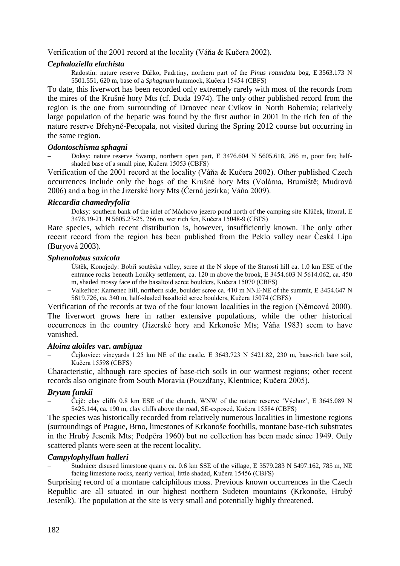Verification of the 2001 record at the locality (Váňa & Kučera 2002).

# *Cephaloziella elachista*

− Radostín: nature reserve Dářko, Padrtiny, northern part of the *Pinus rotundata* bog, E 3563.173 N 5501.551, 620 m, base of a *Sphagnum* hummock, Kučera 15454 (CBFS)

To date, this liverwort has been recorded only extremely rarely with most of the records from the mires of the Krušné hory Mts (cf. Duda 1974). The only other published record from the region is the one from surrounding of Drnovec near Cvikov in North Bohemia; relatively large population of the hepatic was found by the first author in 2001 in the rich fen of the nature reserve Břehyně-Pecopala, not visited during the Spring 2012 course but occurring in the same region.

## *Odontoschisma sphagni*

− Doksy: nature reserve Swamp, northern open part, E 3476.604 N 5605.618, 266 m, poor fen; halfshaded base of a small pine, Kučera 15053 (CBFS)

Verification of the 2001 record at the locality (Váňa & Kučera 2002). Other published Czech occurrences include only the bogs of the Krušné hory Mts (Volárna, Brumiště; Mudrová 2006) and a bog in the Jizerské hory Mts (Černá jezírka; Váňa 2009).

## *Riccardia chamedryfolia*

− Doksy: southern bank of the inlet of Máchovo jezero pond north of the camping site Klůček, littoral, E 3476.19-21, N 5605.23-25, 266 m, wet rich fen, Kučera 15048-9 (CBFS)

Rare species, which recent distribution is, however, insufficiently known. The only other recent record from the region has been published from the Peklo valley near Česká Lípa (Buryová 2003).

## *Sphenolobus saxicola*

- − Úštěk, Konojedy: Bobří soutěska valley, scree at the N slope of the Starosti hill ca. 1.0 km ESE of the entrance rocks beneath Loučky settlement, ca. 120 m above the brook, E 3454.603 N 5614.062, ca. 450 m, shaded mossy face of the basaltoid scree boulders, Kučera 15070 (CBFS)
- − Valkeřice: Kamenec hill, northern side, boulder scree ca. 410 m NNE-NE of the summit, E 3454.647 N 5619.726, ca. 340 m, half-shaded basaltoid scree boulders, Kučera 15074 (CBFS)

Verification of the records at two of the four known localities in the region (Němcová 2000). The liverwort grows here in rather extensive populations, while the other historical occurrences in the country (Jizerské hory and Krkonoše Mts; Váňa 1983) seem to have vanished.

## *Aloina aloides* **var.** *ambigua*

− Čejkovice: vineyards 1.25 km NE of the castle, E 3643.723 N 5421.82, 230 m, base-rich bare soil, Kučera 15598 (CBFS)

Characteristic, although rare species of base-rich soils in our warmest regions; other recent records also originate from South Moravia (Pouzdřany, Klentnice; Kučera 2005).

# *Bryum funkii*

− Čejč: clay cliffs 0.8 km ESE of the church, WNW of the nature reserve 'Výchoz', E 3645.089 N 5425.144, ca. 190 m, clay cliffs above the road, SE-exposed, Kučera 15584 (CBFS)

The species was historically recorded from relatively numerous localities in limestone regions (surroundings of Prague, Brno, limestones of Krkonoše foothills, montane base-rich substrates in the Hrubý Jeseník Mts; Podpěra 1960) but no collection has been made since 1949. Only scattered plants were seen at the recent locality.

## *Campylophyllum halleri*

Studnice: disused limestone quarry ca. 0.6 km SSE of the village, E 3579.283 N 5497.162, 785 m, NE facing limestone rocks, nearly vertical, little shaded, Kučera 15456 (CBFS)

Surprising record of a montane calciphilous moss. Previous known occurrences in the Czech Republic are all situated in our highest northern Sudeten mountains (Krkonoše, Hrubý Jeseník). The population at the site is very small and potentially highly threatened.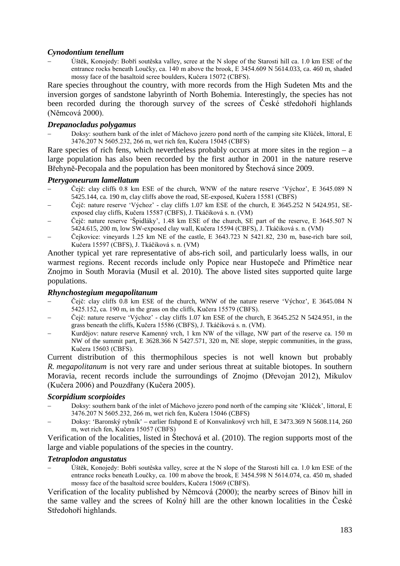## *Cynodontium tenellum*

− Úštěk, Konojedy: Bobří soutěska valley, scree at the N slope of the Starosti hill ca. 1.0 km ESE of the entrance rocks beneath Loučky, ca. 140 m above the brook, E 3454.609 N 5614.033, ca. 460 m, shaded mossy face of the basaltoid scree boulders, Kučera 15072 (CBFS).

Rare species throughout the country, with more records from the High Sudeten Mts and the inversion gorges of sandstone labyrinth of North Bohemia. Interestingly, the species has not been recorded during the thorough survey of the screes of České středohoří highlands (Němcová 2000).

# *Drepanocladus polygamus*

− Doksy: southern bank of the inlet of Máchovo jezero pond north of the camping site Klůček, littoral, E 3476.207 N 5605.232, 266 m, wet rich fen, Kučera 15045 (CBFS)

Rare species of rich fens, which nevertheless probably occurs at more sites in the region  $- a$ large population has also been recorded by the first author in 2001 in the nature reserve Břehyně-Pecopala and the population has been monitored by Štechová since 2009.

## *Pterygoneurum lamellatum*

- − Čejč: clay cliffs 0.8 km ESE of the church, WNW of the nature reserve 'Výchoz', E 3645.089 N 5425.144, ca. 190 m, clay cliffs above the road, SE-exposed, Kučera 15581 (CBFS)
- − Čejč: nature reserve 'Výchoz' clay cliffs 1.07 km ESE of the church, E 3645.252 N 5424.951, SEexposed clay cliffs, Kučera 15587 (CBFS), J. Tkáčiková s. n. (VM)
- − Čejč: nature reserve 'Špidláky', 1.48 km ESE of the church, SE part of the reserve, E 3645.507 N 5424.615, 200 m, low SW-exposed clay wall, Kučera 15594 (CBFS), J. Tkáčiková s. n. (VM)
- − Čejkovice: vineyards 1.25 km NE of the castle, E 3643.723 N 5421.82, 230 m, base-rich bare soil, Kučera 15597 (CBFS), J. Tkáčiková s. n. (VM)

Another typical yet rare representative of abs-rich soil, and particularly loess walls, in our warmest regions. Recent records include only Popice near Hustopeče and Přímětice near Znojmo in South Moravia (Musil et al. 2010). The above listed sites supported quite large populations.

## *Rhynchostegium megapolitanum*

- − Čejč: clay cliffs 0.8 km ESE of the church, WNW of the nature reserve 'Výchoz', E 3645.084 N 5425.152, ca. 190 m, in the grass on the cliffs, Kučera 15579 (CBFS).
- − Čejč: nature reserve 'Výchoz' clay cliffs 1.07 km ESE of the church, E 3645.252 N 5424.951, in the grass beneath the cliffs, Kučera 15586 (CBFS), J. Tkáčiková s. n. (VM).
- − Kurdějov: nature reserve Kamenný vrch, 1 km NW of the village, NW part of the reserve ca. 150 m NW of the summit part, E 3628.366 N 5427.571, 320 m, NE slope, steppic communities, in the grass, Kučera 15603 (CBFS).

Current distribution of this thermophilous species is not well known but probably *R. megapolitanum* is not very rare and under serious threat at suitable biotopes. In southern Moravia, recent records include the surroundings of Znojmo (Dřevojan 2012), Mikulov (Kučera 2006) and Pouzdřany (Kučera 2005).

## *Scorpidium scorpioides*

- − Doksy: southern bank of the inlet of Máchovo jezero pond north of the camping site 'Klůček', littoral, E 3476.207 N 5605.232, 266 m, wet rich fen, Kučera 15046 (CBFS)
- − Doksy: 'Baronský rybník' earlier fishpond E of Konvalinkový vrch hill, E 3473.369 N 5608.114, 260 m, wet rich fen, Kučera 15057 (CBFS)

Verification of the localities, listed in Štechová et al. (2010). The region supports most of the large and viable populations of the species in the country.

## *Tetraplodon angustatus*

− Úštěk, Konojedy: Bobří soutěska valley, scree at the N slope of the Starosti hill ca. 1.0 km ESE of the entrance rocks beneath Loučky, ca. 100 m above the brook, E 3454.598 N 5614.074, ca. 450 m, shaded mossy face of the basaltoid scree boulders, Kučera 15069 (CBFS).

Verification of the locality published by Němcová (2000); the nearby screes of Binov hill in the same valley and the screes of Kolný hill are the other known localities in the České Středohoří highlands.